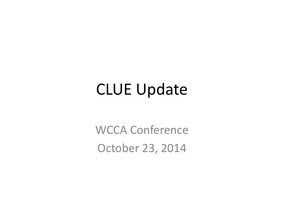### CLUE Update

WCCA Conference October 23, 2014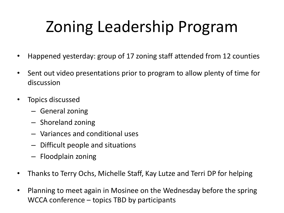# Zoning Leadership Program

- Happened yesterday: group of 17 zoning staff attended from 12 counties
- Sent out video presentations prior to program to allow plenty of time for discussion
- Topics discussed
	- General zoning
	- Shoreland zoning
	- Variances and conditional uses
	- Difficult people and situations
	- Floodplain zoning
- Thanks to Terry Ochs, Michelle Staff, Kay Lutze and Terri DP for helping
- Planning to meet again in Mosinee on the Wednesday before the spring WCCA conference – topics TBD by participants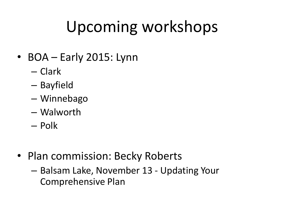## Upcoming workshops

- BOA Early 2015: Lynn
	- Clark
	- Bayfield
	- Winnebago
	- Walworth
	- Polk
- Plan commission: Becky Roberts
	- Balsam Lake, November 13 Updating Your Comprehensive Plan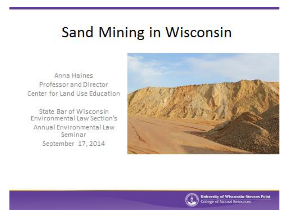## **Sand Mining in Wisconsin**

Anna Haines Professor and Director Center for Land Use Education

State Bar of Wisconsin Environmental Law Section's Annual Environmental Law Seminar September 17, 2014



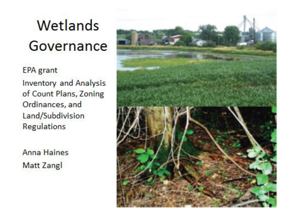# Wetlands Governance

**EPA** grant **Inventory and Analysis** of Count Plans, Zoning Ordinances, and Land/Subdivision Regulations

**Anna Haines Matt Zangl** 

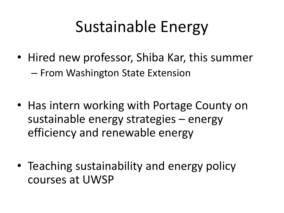## Sustainable Energy

- Hired new professor, Shiba Kar, this summer – From Washington State Extension
- Has intern working with Portage County on sustainable energy strategies – energy efficiency and renewable energy
- Teaching sustainability and energy policy courses at UWSP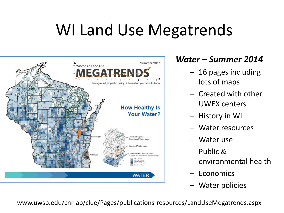## WI Land Use Megatrends



#### *Water – Summer 2014*

- 16 pages including lots of maps
- Created with other UWEX centers
- History in WI
- Water resources
- Water use
- Public & environmental health
- Economics
- Water policies

www.uwsp.edu/cnr-ap/clue/Pages/publications-resources/LandUseMegatrends.aspx